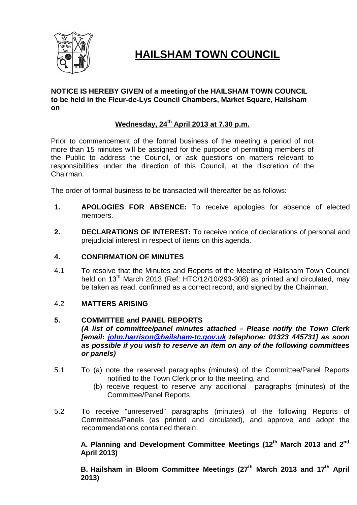

# **HAILSHAM TOWN COUNCIL**

# **NOTICE IS HEREBY GIVEN of a meeting of the HAILSHAM TOWN COUNCIL to be held in the Fleur-de-Lys Council Chambers, Market Square, Hailsham on**

# **Wednesday, 24th April 2013 at 7.30 p.m.**

Prior to commencement of the formal business of the meeting a period of not more than 15 minutes will be assigned for the purpose of permitting members of the Public to address the Council, or ask questions on matters relevant to responsibilities under the direction of this Council, at the discretion of the Chairman.

The order of formal business to be transacted will thereafter be as follows:

- **1. APOLOGIES FOR ABSENCE:** To receive apologies for absence of elected members.
- **2. DECLARATIONS OF INTEREST:** To receive notice of declarations of personal and prejudicial interest in respect of items on this agenda.

# **4. CONFIRMATION OF MINUTES**

4.1 To resolve that the Minutes and Reports of the Meeting of Hailsham Town Council held on  $13<sup>th</sup>$  March 2013 (Ref: HTC/12/10/293-308) as printed and circulated, may be taken as read, confirmed as a correct record, and signed by the Chairman.

# 4.2 **MATTERS ARISING**

# **5. COMMITTEE and PANEL REPORTS**

*(A list of committee/panel minutes attached – Please notify the Town Clerk [email: john.harrison@hailsham-tc.gov.uk telephone: 01323 445731] as soon as possible if you wish to reserve an item on any of the following committees or panels)*

- 5.1 To (a) note the reserved paragraphs (minutes) of the Committee/Panel Reports notified to the Town Clerk prior to the meeting, and
	- (b) receive request to reserve any additional paragraphs (minutes) of the Committee/Panel Reports
- 5.2 To receive "unreserved" paragraphs (minutes) of the following Reports of Committees/Panels (as printed and circulated), and approve and adopt the recommendations contained therein.

**A. Planning and Development Committee Meetings (12th March 2013 and 2nd April 2013)** 

**B. Hailsham in Bloom Committee Meetings (27th March 2013 and 17th April 2013)**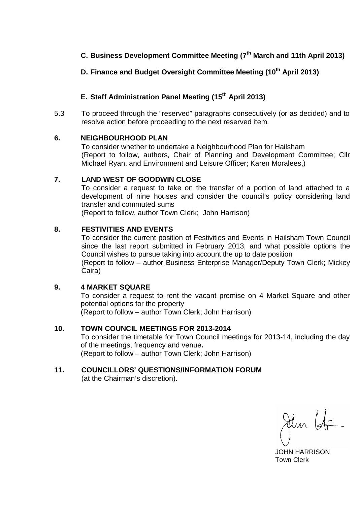# **C. Business Development Committee Meeting (7 th March and 11th April 2013)**

# **D. Finance and Budget Oversight Committee Meeting (10th April 2013)**

# **E. Staff Administration Panel Meeting (15th April 2013)**

5.3 To proceed through the "reserved" paragraphs consecutively (or as decided) and to resolve action before proceeding to the next reserved item.

# **6. NEIGHBOURHOOD PLAN**

To consider whether to undertake a Neighbourhood Plan for Hailsham (Report to follow, authors, Chair of Planning and Development Committee; Cllr Michael Ryan, and Environment and Leisure Officer; Karen Moralees,)

# **7. LAND WEST OF GOODWIN CLOSE**

To consider a request to take on the transfer of a portion of land attached to a development of nine houses and consider the council's policy considering land transfer and commuted sums

(Report to follow, author Town Clerk; John Harrison)

# **8. FESTIVITIES AND EVENTS**

To consider the current position of Festivities and Events in Hailsham Town Council since the last report submitted in February 2013, and what possible options the Council wishes to pursue taking into account the up to date position (Report to follow – author Business Enterprise Manager/Deputy Town Clerk; Mickey Caira)

# **9. 4 MARKET SQUARE**

To consider a request to rent the vacant premise on 4 Market Square and other potential options for the property (Report to follow – author Town Clerk; John Harrison)

# **10. TOWN COUNCIL MEETINGS FOR 2013-2014**

To consider the timetable for Town Council meetings for 2013-14, including the day of the meetings, frequency and venue**.**  (Report to follow – author Town Clerk; John Harrison)

# **11. COUNCILLORS' QUESTIONS/INFORMATION FORUM**

(at the Chairman's discretion).

Jun 16

 JOHN HARRISON Town Clerk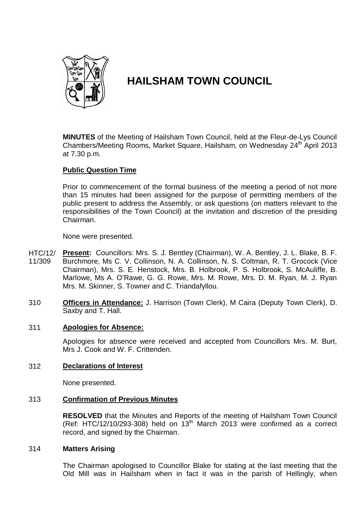

# **HAILSHAM TOWN COUNCIL**

**MINUTES** of the Meeting of Hailsham Town Council, held at the Fleur-de-Lys Council Chambers/Meeting Rooms, Market Square, Hailsham, on Wednesdav 24<sup>th</sup> April 2013 at 7.30 p.m.

# **Public Question Time**

Prior to commencement of the formal business of the meeting a period of not more than 15 minutes had been assigned for the purpose of permitting members of the public present to address the Assembly, or ask questions (on matters relevant to the responsibilities of the Town Council) at the invitation and discretion of the presiding Chairman.

None were presented.

- HTC/12/ 11/309 **Present:** Councillors: Mrs. S. J. Bentley (Chairman), W. A. Bentley, J. L. Blake, B. F. Burchmore, Ms C. V. Collinson, N. A. Collinson, N. S. Coltman, R. T. Grocock (Vice Chairman), Mrs. S. E. Henstock, Mrs. B. Holbrook, P. S. Holbrook, S. McAuliffe, B. Marlowe, Ms A. O'Rawe, G. G. Rowe, Mrs. M. Rowe, Mrs. D. M. Ryan, M. J. Ryan Mrs. M. Skinner, S. Towner and C. Triandafyllou.
- 310 **Officers in Attendance:** J. Harrison (Town Clerk), M Caira (Deputy Town Clerk), D. Saxby and T. Hall.

### 311 **Apologies for Absence:**

Apologies for absence were received and accepted from Councillors Mrs. M. Burt, Mrs J. Cook and W. F. Crittenden.

# 312 **Declarations of Interest**

None presented.

# 313 **Confirmation of Previous Minutes**

**RESOLVED** that the Minutes and Reports of the meeting of Hailsham Town Council (Ref: HTC/12/10/293-308) held on  $13<sup>th</sup>$  March 2013 were confirmed as a correct record, and signed by the Chairman.

### 314 **Matters Arising**

The Chairman apologised to Councillor Blake for stating at the last meeting that the Old Mill was in Hailsham when in fact it was in the parish of Hellingly, when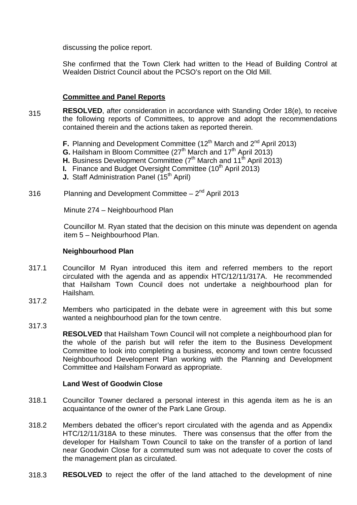discussing the police report.

She confirmed that the Town Clerk had written to the Head of Building Control at Wealden District Council about the PCSO's report on the Old Mill.

# **Committee and Panel Reports**

- 315 **RESOLVED**, after consideration in accordance with Standing Order 18(e), to receive the following reports of Committees, to approve and adopt the recommendations contained therein and the actions taken as reported therein.
	- **F.** Planning and Development Committee (12<sup>th</sup> March and 2<sup>nd</sup> April 2013)
	- **G.** Hailsham in Bloom Committee (27<sup>th</sup> March and 17<sup>th</sup> April 2013)
	- **H.** Business Development Committee (7<sup>th</sup> March and 11<sup>th</sup> April 2013)
	- **I.** Finance and Budget Oversight Committee (10<sup>th</sup> April 2013)
	- **J.** Staff Administration Panel (15<sup>th</sup> April)
- 316 Planning and Development Committee  $-2^{nd}$  April 2013

Minute 274 – Neighbourhood Plan

Councillor M. Ryan stated that the decision on this minute was dependent on agenda item 5 – Neighbourhood Plan.

### **Neighbourhood Plan**

- 317.1 Councillor M Ryan introduced this item and referred members to the report circulated with the agenda and as appendix HTC/12/11/317A. He recommended that Hailsham Town Council does not undertake a neighbourhood plan for Hailsham.
- 317.2

Members who participated in the debate were in agreement with this but some wanted a neighbourhood plan for the town centre.

317.3

**RESOLVED** that Hailsham Town Council will not complete a neighbourhood plan for the whole of the parish but will refer the item to the Business Development Committee to look into completing a business, economy and town centre focussed Neighbourhood Development Plan working with the Planning and Development Committee and Hailsham Forward as appropriate.

# **Land West of Goodwin Close**

- 318.1 Councillor Towner declared a personal interest in this agenda item as he is an acquaintance of the owner of the Park Lane Group.
- 318.2 Members debated the officer's report circulated with the agenda and as Appendix HTC/12/11/318A to these minutes. There was consensus that the offer from the developer for Hailsham Town Council to take on the transfer of a portion of land near Goodwin Close for a commuted sum was not adequate to cover the costs of the management plan as circulated.
- 318.3 **RESOLVED** to reject the offer of the land attached to the development of nine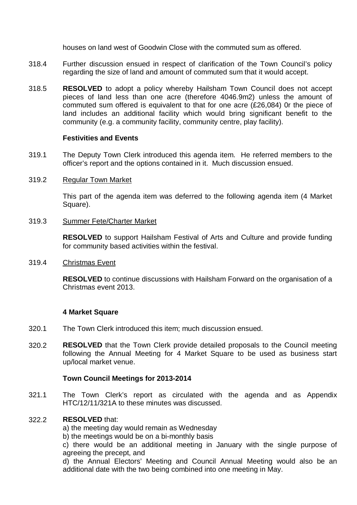houses on land west of Goodwin Close with the commuted sum as offered.

- 318.4 Further discussion ensued in respect of clarification of the Town Council's policy regarding the size of land and amount of commuted sum that it would accept.
- 318.5 **RESOLVED** to adopt a policy whereby Hailsham Town Council does not accept pieces of land less than one acre (therefore 4046.9m2) unless the amount of commuted sum offered is equivalent to that for one acre (£26,084) 0r the piece of land includes an additional facility which would bring significant benefit to the community (e.g. a community facility, community centre, play facility).

### **Festivities and Events**

319.1 The Deputy Town Clerk introduced this agenda item. He referred members to the officer's report and the options contained in it. Much discussion ensued.

#### 319.2 Regular Town Market

This part of the agenda item was deferred to the following agenda item (4 Market Square).

#### 319.3 Summer Fete/Charter Market

**RESOLVED** to support Hailsham Festival of Arts and Culture and provide funding for community based activities within the festival.

#### 319.4 Christmas Event

**RESOLVED** to continue discussions with Hailsham Forward on the organisation of a Christmas event 2013.

# **4 Market Square**

- 320.1 The Town Clerk introduced this item; much discussion ensued.
- 320.2 **RESOLVED** that the Town Clerk provide detailed proposals to the Council meeting following the Annual Meeting for 4 Market Square to be used as business start up/local market venue.

# **Town Council Meetings for 2013-2014**

321.1 The Town Clerk's report as circulated with the agenda and as Appendix HTC/12/11/321A to these minutes was discussed.

#### 322.2 **RESOLVED** that:

a) the meeting day would remain as Wednesday

b) the meetings would be on a bi-monthly basis

c) there would be an additional meeting in January with the single purpose of agreeing the precept, and

d) the Annual Electors' Meeting and Council Annual Meeting would also be an additional date with the two being combined into one meeting in May.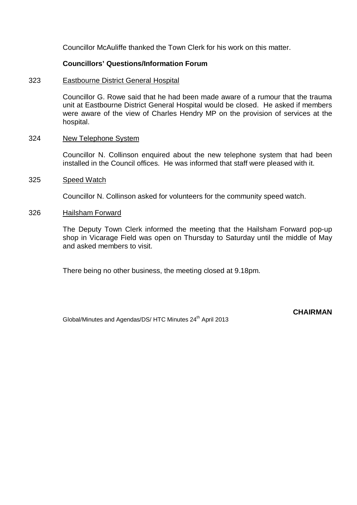Councillor McAuliffe thanked the Town Clerk for his work on this matter.

# **Councillors' Questions/Information Forum**

#### 323 Eastbourne District General Hospital

Councillor G. Rowe said that he had been made aware of a rumour that the trauma unit at Eastbourne District General Hospital would be closed. He asked if members were aware of the view of Charles Hendry MP on the provision of services at the hospital.

#### 324 New Telephone System

Councillor N. Collinson enquired about the new telephone system that had been installed in the Council offices. He was informed that staff were pleased with it.

#### 325 Speed Watch

Councillor N. Collinson asked for volunteers for the community speed watch.

#### 326 Hailsham Forward

The Deputy Town Clerk informed the meeting that the Hailsham Forward pop-up shop in Vicarage Field was open on Thursday to Saturday until the middle of May and asked members to visit.

There being no other business, the meeting closed at 9.18pm.

Global/Minutes and Agendas/DS/ HTC Minutes 24<sup>th</sup> April 2013

**CHAIRMAN**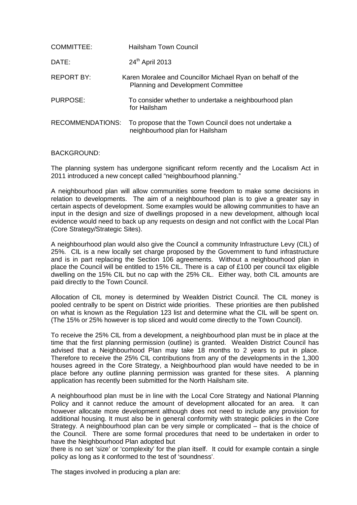| COMMITTEE:              | Hailsham Town Council                                                                                   |
|-------------------------|---------------------------------------------------------------------------------------------------------|
| DATE:                   | 24th April 2013                                                                                         |
| REPORT BY:              | Karen Moralee and Councillor Michael Ryan on behalf of the<br><b>Planning and Development Committee</b> |
| PURPOSE:                | To consider whether to undertake a neighbourhood plan<br>for Hailsham                                   |
| <b>RECOMMENDATIONS:</b> | To propose that the Town Council does not undertake a<br>neighbourhood plan for Hailsham                |

#### BACKGROUND:

The planning system has undergone significant reform recently and the Localism Act in 2011 introduced a new concept called "neighbourhood planning."

A neighbourhood plan will allow communities some freedom to make some decisions in relation to developments. The aim of a neighbourhood plan is to give a greater say in certain aspects of development. Some examples would be allowing communities to have an input in the design and size of dwellings proposed in a new development, although local evidence would need to back up any requests on design and not conflict with the Local Plan (Core Strategy/Strategic Sites).

A neighbourhood plan would also give the Council a community Infrastructure Levy (CIL) of 25%. CIL is a new locally set charge proposed by the Government to fund infrastructure and is in part replacing the Section 106 agreements. Without a neighbourhood plan in place the Council will be entitled to 15% CIL. There is a cap of £100 per council tax eligible dwelling on the 15% CIL but no cap with the 25% CIL. Either way, both CIL amounts are paid directly to the Town Council.

Allocation of CIL money is determined by Wealden District Council. The CIL money is pooled centrally to be spent on District wide priorities. These priorities are then published on what is known as the Regulation 123 list and determine what the CIL will be spent on. (The 15% or 25% however is top sliced and would come directly to the Town Council).

To receive the 25% CIL from a development, a neighbourhood plan must be in place at the time that the first planning permission (outline) is granted. Wealden District Council has advised that a Neighbourhood Plan may take 18 months to 2 years to put in place. Therefore to receive the 25% CIL contributions from any of the developments in the 1,300 houses agreed in the Core Strategy, a Neighbourhood plan would have needed to be in place before any outline planning permission was granted for these sites. A planning application has recently been submitted for the North Hailsham site.

A neighbourhood plan must be in line with the Local Core Strategy and National Planning Policy and it cannot reduce the amount of development allocated for an area. It can however allocate more development although does not need to include any provision for additional housing. It must also be in general conformity with strategic policies in the Core Strategy. A neighbourhood plan can be very simple or complicated – that is the choice of the Council. There are some formal procedures that need to be undertaken in order to have the Neighbourhood Plan adopted but

there is no set 'size' or 'complexity' for the plan itself. It could for example contain a single policy as long as it conformed to the test of 'soundness'.

The stages involved in producing a plan are: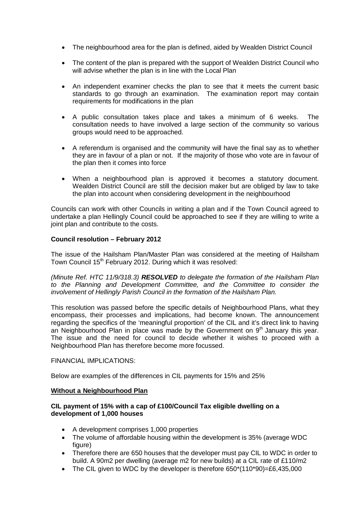- The neighbourhood area for the plan is defined, aided by Wealden District Council
- The content of the plan is prepared with the support of Wealden District Council who will advise whether the plan is in line with the Local Plan
- An independent examiner checks the plan to see that it meets the current basic standards to go through an examination. The examination report may contain requirements for modifications in the plan
- A public consultation takes place and takes a minimum of 6 weeks. The consultation needs to have involved a large section of the community so various groups would need to be approached.
- A referendum is organised and the community will have the final say as to whether they are in favour of a plan or not. If the majority of those who vote are in favour of the plan then it comes into force
- When a neighbourhood plan is approved it becomes a statutory document. Wealden District Council are still the decision maker but are obliged by law to take the plan into account when considering development in the neighbourhood

Councils can work with other Councils in writing a plan and if the Town Council agreed to undertake a plan Hellingly Council could be approached to see if they are willing to write a joint plan and contribute to the costs.

### **Council resolution – February 2012**

The issue of the Hailsham Plan/Master Plan was considered at the meeting of Hailsham Town Council 15<sup>th</sup> February 2012. During which it was resolved:

*(Minute Ref. HTC 11/9/318.3) RESOLVED to delegate the formation of the Hailsham Plan to the Planning and Development Committee, and the Committee to consider the involvement of Hellingly Parish Council in the formation of the Hailsham Plan.* 

This resolution was passed before the specific details of Neighbourhood Plans, what they encompass, their processes and implications, had become known. The announcement regarding the specifics of the 'meaningful proportion' of the CIL and it's direct link to having an Neighbourhood Plan in place was made by the Government on  $9<sup>th</sup>$  January this year. The issue and the need for council to decide whether it wishes to proceed with a Neighbourhood Plan has therefore become more focussed.

#### FINANCIAL IMPLICATIONS:

Below are examples of the differences in CIL payments for 15% and 25%

### **Without a Neighbourhood Plan**

#### **CIL payment of 15% with a cap of £100/Council Tax eligible dwelling on a development of 1,000 houses**

- A development comprises 1,000 properties
- The volume of affordable housing within the development is 35% (average WDC figure)
- Therefore there are 650 houses that the developer must pay CIL to WDC in order to build. A 90m2 per dwelling (average m2 for new builds) at a CIL rate of £110/m2
- The CIL given to WDC by the developer is therefore  $650*(110*90) = £6,435,000$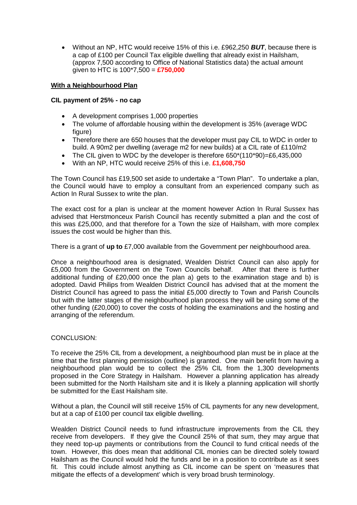Without an NP, HTC would receive 15% of this i.e. £962,250 *BUT*, because there is a cap of £100 per Council Tax eligible dwelling that already exist in Hailsham, (approx 7,500 according to Office of National Statistics data) the actual amount given to HTC is 100\*7,500 = **£750,000** 

#### **With a Neighbourhood Plan**

#### **CIL payment of 25% - no cap**

- A development comprises 1,000 properties
- The volume of affordable housing within the development is 35% (average WDC figure)
- Therefore there are 650 houses that the developer must pay CIL to WDC in order to build. A 90m2 per dwelling (average m2 for new builds) at a CIL rate of £110/m2
- The CIL given to WDC by the developer is therefore 650\*(110\*90)=£6,435,000
- With an NP, HTC would receive 25% of this i.e. **£1,608,750**

The Town Council has £19,500 set aside to undertake a "Town Plan". To undertake a plan, the Council would have to employ a consultant from an experienced company such as Action In Rural Sussex to write the plan.

The exact cost for a plan is unclear at the moment however Action In Rural Sussex has advised that Herstmonceux Parish Council has recently submitted a plan and the cost of this was £25,000, and that therefore for a Town the size of Hailsham, with more complex issues the cost would be higher than this.

There is a grant of **up to** £7,000 available from the Government per neighbourhood area.

Once a neighbourhood area is designated, Wealden District Council can also apply for £5,000 from the Government on the Town Councils behalf. After that there is further additional funding of £20,000 once the plan a) gets to the examination stage and b) is adopted. David Philips from Wealden District Council has advised that at the moment the District Council has agreed to pass the initial £5,000 directly to Town and Parish Councils but with the latter stages of the neighbourhood plan process they will be using some of the other funding (£20,000) to cover the costs of holding the examinations and the hosting and arranging of the referendum.

### CONCLUSION:

To receive the 25% CIL from a development, a neighbourhood plan must be in place at the time that the first planning permission (outline) is granted. One main benefit from having a neighbourhood plan would be to collect the 25% CIL from the 1,300 developments proposed in the Core Strategy in Hailsham. However a planning application has already been submitted for the North Hailsham site and it is likely a planning application will shortly be submitted for the East Hailsham site.

Without a plan, the Council will still receive 15% of CIL payments for any new development, but at a cap of £100 per council tax eligible dwelling.

Wealden District Council needs to fund infrastructure improvements from the CIL they receive from developers. If they give the Council 25% of that sum, they may argue that they need top-up payments or contributions from the Council to fund critical needs of the town. However, this does mean that additional CIL monies can be directed solely toward Hailsham as the Council would hold the funds and be in a position to contribute as it sees fit. This could include almost anything as CIL income can be spent on 'measures that mitigate the effects of a development' which is very broad brush terminology.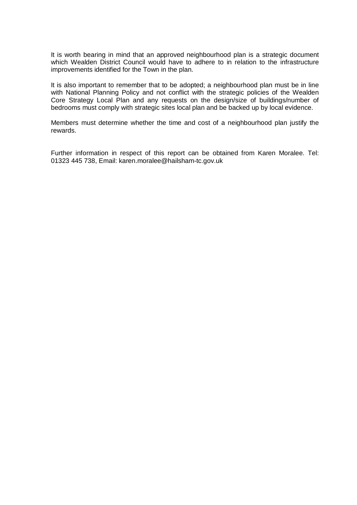It is worth bearing in mind that an approved neighbourhood plan is a strategic document which Wealden District Council would have to adhere to in relation to the infrastructure improvements identified for the Town in the plan.

It is also important to remember that to be adopted; a neighbourhood plan must be in line with National Planning Policy and not conflict with the strategic policies of the Wealden Core Strategy Local Plan and any requests on the design/size of buildings/number of bedrooms must comply with strategic sites local plan and be backed up by local evidence.

Members must determine whether the time and cost of a neighbourhood plan justify the rewards.

Further information in respect of this report can be obtained from Karen Moralee. Tel: 01323 445 738, Email: karen.moralee@hailsham-tc.gov.uk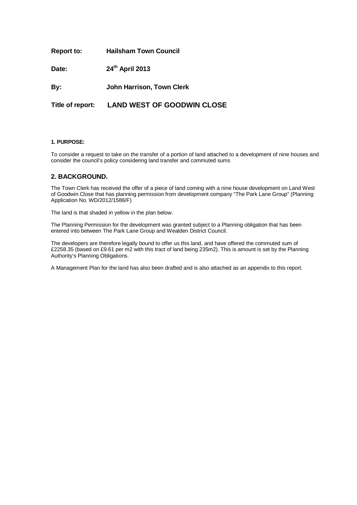| <b>Report to:</b> | <b>Hailsham Town Council</b>                |
|-------------------|---------------------------------------------|
| Date:             | 24th April 2013                             |
| By:               | <b>John Harrison, Town Clerk</b>            |
|                   | Title of report: LAND WEST OF GOODWIN CLOSE |

#### **1. PURPOSE:**

To consider a request to take on the transfer of a portion of land attached to a development of nine houses and consider the council's policy considering land transfer and commuted sums

#### **2. BACKGROUND.**

The Town Clerk has received the offer of a piece of land coming with a nine house development on Land West of Goodwin Close that has planning permission from development company "The Park Lane Group" (Planning Application No. WD/2012/1586/F)

The land is that shaded in yellow in the plan below.

The Planning Permission for the development was granted subject to a Planning obligation that has been entered into between The Park Lane Group and Wealden District Council.

The developers are therefore legally bound to offer us this land, and have offered the commuted sum of £2258.35 (based on £9.61 per m2 with this tract of land being 235m2). This is amount is set by the Planning Authority's Planning Obligations.

A Management Plan for the land has also been drafted and is also attached as an appendix to this report.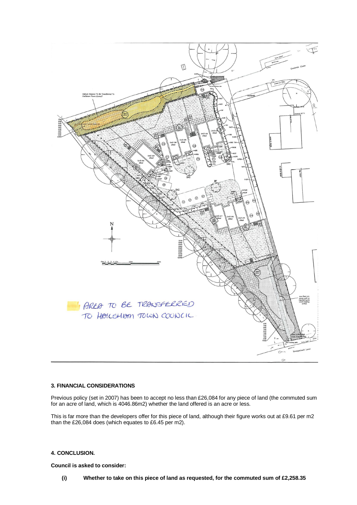

#### **3. FINANCIAL CONSIDERATIONS**

Previous policy (set in 2007) has been to accept no less than £26,084 for any piece of land (the commuted sum for an acre of land, which is 4046.86m2) whether the land offered is an acre or less.

This is far more than the developers offer for this piece of land, although their figure works out at £9.61 per m2 than the £26,084 does (which equates to £6.45 per m2).

#### **4. CONCLUSION.**

**Council is asked to consider:**

**(i) Whether to take on this piece of land as requested, for the commuted sum of £2,258.35**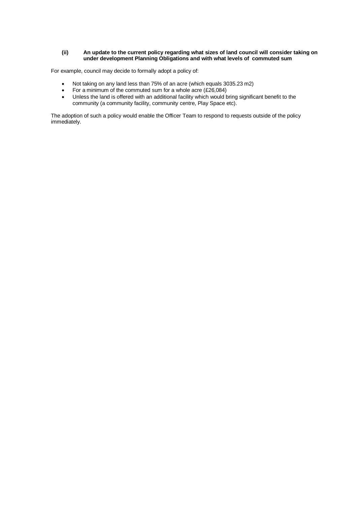#### **(ii) An update to the current policy regarding what sizes of land council will consider taking on under development Planning Obligations and with what levels of commuted sum**

For example, council may decide to formally adopt a policy of:

- Not taking on any land less than 75% of an acre (which equals 3035.23 m2)
- For a minimum of the commuted sum for a whole acre  $(E26,084)$
- Unless the land is offered with an additional facility which would bring significant benefit to the community (a community facility, community centre, Play Space etc).

The adoption of such a policy would enable the Officer Team to respond to requests outside of the policy immediately.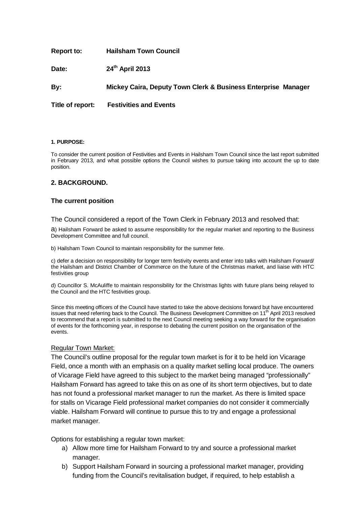**Report to: Hailsham Town Council**

**Date: 24th April 2013**

**By: Mickey Caira, Deputy Town Clerk & Business Enterprise Manager**

**Title of report: Festivities and Events**

#### **1. PURPOSE:**

To consider the current position of Festivities and Events in Hailsham Town Council since the last report submitted in February 2013, and what possible options the Council wishes to pursue taking into account the up to date position.

#### **2. BACKGROUND.**

#### **The current position**

The Council considered a report of the Town Clerk in February 2013 and resolved that:

a) Hailsham Forward be asked to assume responsibility for the regular market and reporting to the Business Development Committee and full council.

b) Hailsham Town Council to maintain responsibility for the summer fete.

c) defer a decision on responsibility for longer term festivity events and enter into talks with Hailsham Forward/ the Hailsham and District Chamber of Commerce on the future of the Christmas market, and liaise with HTC festivities group

d) Councillor S. McAuliffe to maintain responsibility for the Christmas lights with future plans being relayed to the Council and the HTC festivities group.

Since this meeting officers of the Council have started to take the above decisions forward but have encountered issues that need referring back to the Council. The Business Development Committee on 11<sup>th</sup> April 2013 resolved to recommend that a report is submitted to the next Council meeting seeking a way forward for the organisation of events for the forthcoming year, in response to debating the current position on the organisation of the events.

#### Regular Town Market:

The Council's outline proposal for the regular town market is for it to be held ion Vicarage Field, once a month with an emphasis on a quality market selling local produce. The owners of Vicarage Field have agreed to this subject to the market being managed "professionally" Hailsham Forward has agreed to take this on as one of its short term objectives, but to date has not found a professional market manager to run the market. As there is limited space for stalls on Vicarage Field professional market companies do not consider it commercially viable. Hailsham Forward will continue to pursue this to try and engage a professional market manager.

Options for establishing a regular town market:

- a) Allow more time for Hailsham Forward to try and source a professional market manager.
- b) Support Hailsham Forward in sourcing a professional market manager, providing funding from the Council's revitalisation budget, if required, to help establish a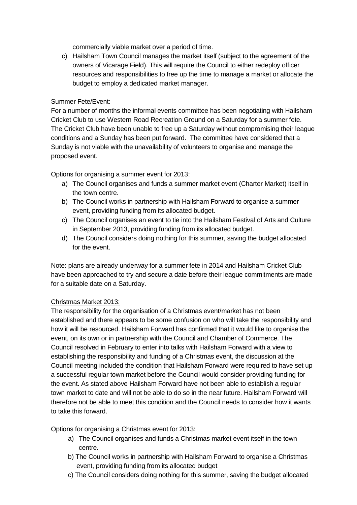commercially viable market over a period of time.

c) Hailsham Town Council manages the market itself (subject to the agreement of the owners of Vicarage Field). This will require the Council to either redeploy officer resources and responsibilities to free up the time to manage a market or allocate the budget to employ a dedicated market manager.

# Summer Fete/Event:

For a number of months the informal events committee has been negotiating with Hailsham Cricket Club to use Western Road Recreation Ground on a Saturday for a summer fete. The Cricket Club have been unable to free up a Saturday without compromising their league conditions and a Sunday has been put forward. The committee have considered that a Sunday is not viable with the unavailability of volunteers to organise and manage the proposed event.

Options for organising a summer event for 2013:

- a) The Council organises and funds a summer market event (Charter Market) itself in the town centre.
- b) The Council works in partnership with Hailsham Forward to organise a summer event, providing funding from its allocated budget.
- c) The Council organises an event to tie into the Hailsham Festival of Arts and Culture in September 2013, providing funding from its allocated budget.
- d) The Council considers doing nothing for this summer, saving the budget allocated for the event.

Note: plans are already underway for a summer fete in 2014 and Hailsham Cricket Club have been approached to try and secure a date before their league commitments are made for a suitable date on a Saturday.

# Christmas Market 2013:

The responsibility for the organisation of a Christmas event/market has not been established and there appears to be some confusion on who will take the responsibility and how it will be resourced. Hailsham Forward has confirmed that it would like to organise the event, on its own or in partnership with the Council and Chamber of Commerce. The Council resolved in February to enter into talks with Hailsham Forward with a view to establishing the responsibility and funding of a Christmas event, the discussion at the Council meeting included the condition that Hailsham Forward were required to have set up a successful regular town market before the Council would consider providing funding for the event. As stated above Hailsham Forward have not been able to establish a regular town market to date and will not be able to do so in the near future. Hailsham Forward will therefore not be able to meet this condition and the Council needs to consider how it wants to take this forward.

Options for organising a Christmas event for 2013:

- a) The Council organises and funds a Christmas market event itself in the town centre.
- b) The Council works in partnership with Hailsham Forward to organise a Christmas event, providing funding from its allocated budget
- c) The Council considers doing nothing for this summer, saving the budget allocated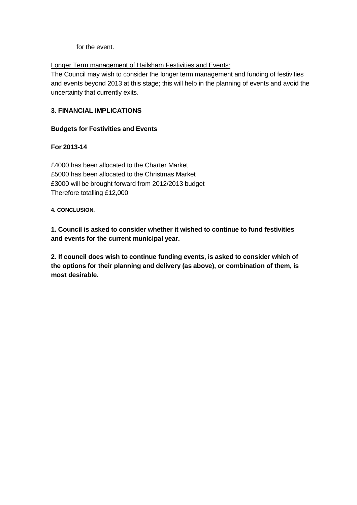for the event.

Longer Term management of Hailsham Festivities and Events:

The Council may wish to consider the longer term management and funding of festivities and events beyond 2013 at this stage; this will help in the planning of events and avoid the uncertainty that currently exits.

# **3. FINANCIAL IMPLICATIONS**

# **Budgets for Festivities and Events**

# **For 2013-14**

£4000 has been allocated to the Charter Market £5000 has been allocated to the Christmas Market £3000 will be brought forward from 2012/2013 budget Therefore totalling £12,000

**4. CONCLUSION.**

**1. Council is asked to consider whether it wished to continue to fund festivities and events for the current municipal year.**

**2. If council does wish to continue funding events, is asked to consider which of the options for their planning and delivery (as above), or combination of them, is most desirable.**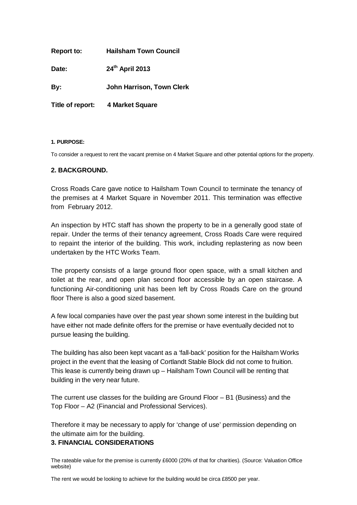| <b>Report to:</b> | <b>Hailsham Town Council</b>     |
|-------------------|----------------------------------|
| Date:             | 24th April 2013                  |
| By:               | <b>John Harrison, Town Clerk</b> |
| Title of report:  | 4 Market Square                  |

#### **1. PURPOSE:**

To consider a request to rent the vacant premise on 4 Market Square and other potential options for the property.

### **2. BACKGROUND.**

Cross Roads Care gave notice to Hailsham Town Council to terminate the tenancy of the premises at 4 Market Square in November 2011. This termination was effective from February 2012.

An inspection by HTC staff has shown the property to be in a generally good state of repair. Under the terms of their tenancy agreement, Cross Roads Care were required to repaint the interior of the building. This work, including replastering as now been undertaken by the HTC Works Team.

The property consists of a large ground floor open space, with a small kitchen and toilet at the rear, and open plan second floor accessible by an open staircase. A functioning Air-conditioning unit has been left by Cross Roads Care on the ground floor There is also a good sized basement.

A few local companies have over the past year shown some interest in the building but have either not made definite offers for the premise or have eventually decided not to pursue leasing the building.

The building has also been kept vacant as a 'fall-back' position for the Hailsham Works project in the event that the leasing of Cortlandt Stable Block did not come to fruition. This lease is currently being drawn up – Hailsham Town Council will be renting that building in the very near future.

The current use classes for the building are Ground Floor – B1 (Business) and the Top Floor – A2 (Financial and Professional Services).

Therefore it may be necessary to apply for 'change of use' permission depending on the ultimate aim for the building.

### **3. FINANCIAL CONSIDERATIONS**

The rateable value for the premise is currently £6000 (20% of that for charities). (Source: Valuation Office website)

The rent we would be looking to achieve for the building would be circa £8500 per year.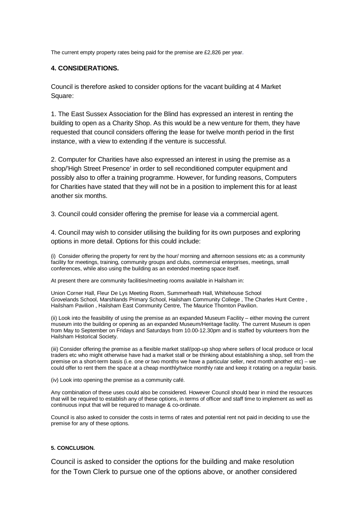The current empty property rates being paid for the premise are £2,826 per year.

#### **4. CONSIDERATIONS.**

Council is therefore asked to consider options for the vacant building at 4 Market Square:

1. The East Sussex Association for the Blind has expressed an interest in renting the building to open as a Charity Shop. As this would be a new venture for them, they have requested that council considers offering the lease for twelve month period in the first instance, with a view to extending if the venture is successful.

2. Computer for Charities have also expressed an interest in using the premise as a shop/'High Street Presence' in order to sell reconditioned computer equipment and possibly also to offer a training programme. However, for funding reasons, Computers for Charities have stated that they will not be in a position to implement this for at least another six months.

3. Council could consider offering the premise for lease via a commercial agent.

4. Council may wish to consider utilising the building for its own purposes and exploring options in more detail. Options for this could include:

(i) Consider offering the property for rent by the hour/ morning and afternoon sessions etc as a community facility for meetings, training, community groups and clubs, commercial enterprises, meetings, small conferences, while also using the building as an extended meeting space itself.

At present there are community facilities/meeting rooms available in Hailsham in:

Union Corner Hall, Fleur De Lys Meeting Room, Summerheath Hall, Whitehouse School Grovelands School, Marshlands Primary School, Hailsham Community College , The Charles Hunt Centre , Hailsham Pavilion , Hailsham East Community Centre, The Maurice Thornton Pavilion.

(ii) Look into the feasibility of using the premise as an expanded Museum Facility – either moving the current museum into the building or opening as an expanded Museum/Heritage facility. The current Museum is open from May to September on Fridays and Saturdays from 10.00-12.30pm and is staffed by volunteers from the Hailsham Historical Society.

(iii) Consider offering the premise as a flexible market stall/pop-up shop where sellers of local produce or local traders etc who might otherwise have had a market stall or be thinking about establishing a shop, sell from the premise on a short-term basis (i.e. one or two months we have a particular seller, next month another etc) – we could offer to rent them the space at a cheap monthly/twice monthly rate and keep it rotating on a regular basis.

(iv) Look into opening the premise as a community café.

Any combination of these uses could also be considered. However Council should bear in mind the resources that will be required to establish any of these options, in terms of officer and staff time to implement as well as continuous input that will be required to manage & co-ordinate.

Council is also asked to consider the costs in terms of rates and potential rent not paid in deciding to use the premise for any of these options.

#### **5. CONCLUSION.**

Council is asked to consider the options for the building and make resolution for the Town Clerk to pursue one of the options above, or another considered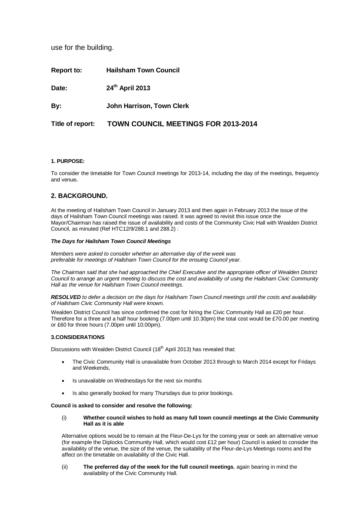use for the building.

| <b>Report to:</b> | <b>Hailsham Town Council</b>               |
|-------------------|--------------------------------------------|
| Date:             | 24 <sup>th</sup> April 2013                |
| By:               | <b>John Harrison, Town Clerk</b>           |
| Title of report:  | <b>TOWN COUNCIL MEETINGS FOR 2013-2014</b> |

#### **1. PURPOSE:**

To consider the timetable for Town Council meetings for 2013-14, including the day of the meetings, frequency and venue**.** 

#### **2. BACKGROUND.**

At the meeting of Hailsham Town Council in January 2013 and then again in February 2013 the issue of the days of Hailsham Town Council meetings was raised. It was agreed to revisit this issue once the Mayor/Chairman has raised the issue of availability and costs of the Community Civic Hall with Wealden District Council, as minuted (Ref HTC12/9/288.1 and 288.2) :

#### *The Days for Hailsham Town Council Meetings*

*Members were asked to consider whether an alternative day of the week was preferable for meetings of Hailsham Town Council for the ensuing Council year.*

*The Chairman said that she had approached the Chief Executive and the appropriate officer of Wealden District Council to arrange an urgent meeting to discuss the cost and availability of using the Hailsham Civic Community Hall as the venue for Hailsham Town Council meetings.*

*RESOLVED to defer a decision on the days for Hailsham Town Council meetings until the costs and availability of Hailsham Civic Community Hall were known.*

Wealden District Council has since confirmed the cost for hiring the Civic Community Hall as £20 per hour. Therefore for a three and a half hour booking (7.00pm until 10.30pm) the total cost would be £70.00 per meeting or £60 for three hours (7.00pm until 10.00pm).

#### **3.CONSIDERATIONS**

Discussions with Wealden District Council (18<sup>th</sup> April 2013) has revealed that:

- The Civic Community Hall is unavailable from October 2013 through to March 2014 except for Fridays and Weekends,
- Is unavailable on Wednesdays for the next six months
- Is also generally booked for many Thursdays due to prior bookings.

#### **Council is asked to consider and resolve the following:**

(i) **Whether council wishes to hold as many full town council meetings at the Civic Community Hall as it is able**

Alternative options would be to remain at the Fleur-De-Lys for the coming year or seek an alternative venue (for example the Diplocks Community Hall, which would cost £12 per hour) Council is asked to consider the availability of the venue, the size of the venue, the suitability of the Fleur-de-Lys Meetings rooms and the affect on the timetable on availability of the Civic Hall.

(ii) **The preferred day of the week for the full council meetings**, again bearing in mind the availability of the Civic Community Hall.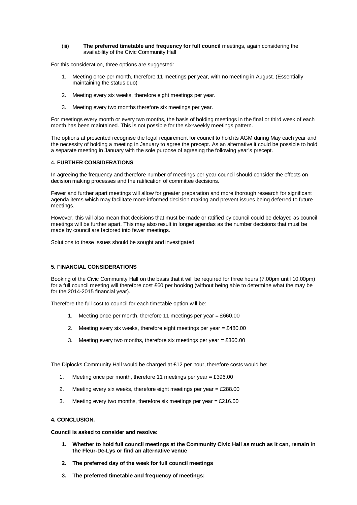#### (iii) **The preferred timetable and frequency for full council** meetings, again considering the availability of the Civic Community Hall

For this consideration, three options are suggested:

- 1. Meeting once per month, therefore 11 meetings per year, with no meeting in August. (Essentially maintaining the status quo)
- 2. Meeting every six weeks, therefore eight meetings per year.
- 3. Meeting every two months therefore six meetings per year.

For meetings every month or every two months, the basis of holding meetings in the final or third week of each month has been maintained. This is not possible for the six-weekly meetings pattern.

The options at presented recognise the legal requirement for council to hold its AGM during May each year and the necessity of holding a meeting in January to agree the precept. As an alternative it could be possible to hold a separate meeting in January with the sole purpose of agreeing the following year's precept.

#### 4**. FURTHER CONSIDERATIONS**

In agreeing the frequency and therefore number of meetings per year council should consider the effects on decision making processes and the ratification of committee decisions.

Fewer and further apart meetings will allow for greater preparation and more thorough research for significant agenda items which may facilitate more informed decision making and prevent issues being deferred to future meetings.

However, this will also mean that decisions that must be made or ratified by council could be delayed as council meetings will be further apart. This may also result in longer agendas as the number decisions that must be made by council are factored into fewer meetings.

Solutions to these issues should be sought and investigated.

#### **5. FINANCIAL CONSIDERATIONS**

Booking of the Civic Community Hall on the basis that it will be required for three hours (7.00pm until 10.00pm) for a full council meeting will therefore cost £60 per booking (without being able to determine what the may be for the 2014-2015 financial year).

Therefore the full cost to council for each timetable option will be:

- 1. Meeting once per month, therefore 11 meetings per year = £660.00
- 2. Meeting every six weeks, therefore eight meetings per year  $= \text{\pounds}480.00$
- 3. Meeting every two months, therefore six meetings per year  $= \text{\textsterling}360.00$

The Diplocks Community Hall would be charged at £12 per hour, therefore costs would be:

- 1. Meeting once per month, therefore 11 meetings per year = £396.00
- 2. Meeting every six weeks, therefore eight meetings per year  $= \pounds 288.00$
- 3. Meeting every two months, therefore six meetings per year  $=$  £216.00

#### **4. CONCLUSION.**

**Council is asked to consider and resolve:**

- **1. Whether to hold full council meetings at the Community Civic Hall as much as it can, remain in the Fleur-De-Lys or find an alternative venue**
- **2. The preferred day of the week for full council meetings**
- **3. The preferred timetable and frequency of meetings:**